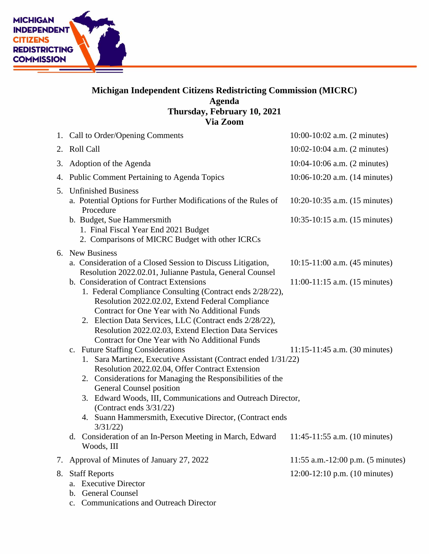

## **Michigan Independent Citizens Redistricting Commission (MICRC) Agenda Thursday, February 10, 2021 Via Zoom**

|    | 1. Call to Order/Opening Comments                                                                                                                                                                                                                                                                                                                                                                                 | 10:00-10:02 a.m. (2 minutes)                                   |
|----|-------------------------------------------------------------------------------------------------------------------------------------------------------------------------------------------------------------------------------------------------------------------------------------------------------------------------------------------------------------------------------------------------------------------|----------------------------------------------------------------|
|    | 2. Roll Call                                                                                                                                                                                                                                                                                                                                                                                                      | $10:02 - 10:04$ a.m. $(2 \text{ minutes})$                     |
| 3. | Adoption of the Agenda                                                                                                                                                                                                                                                                                                                                                                                            | $10:04-10:06$ a.m. $(2 \text{ minutes})$                       |
|    | 4. Public Comment Pertaining to Agenda Topics                                                                                                                                                                                                                                                                                                                                                                     | 10:06-10:20 a.m. (14 minutes)                                  |
|    | 5. Unfinished Business<br>a. Potential Options for Further Modifications of the Rules of<br>Procedure<br>b. Budget, Sue Hammersmith<br>1. Final Fiscal Year End 2021 Budget<br>2. Comparisons of MICRC Budget with other ICRCs                                                                                                                                                                                    | 10:20-10:35 a.m. (15 minutes)<br>10:35-10:15 a.m. (15 minutes) |
|    | 6. New Business<br>a. Consideration of a Closed Session to Discuss Litigation,<br>Resolution 2022.02.01, Julianne Pastula, General Counsel                                                                                                                                                                                                                                                                        | 10:15-11:00 a.m. (45 minutes)                                  |
|    | b. Consideration of Contract Extensions<br>1. Federal Compliance Consulting (Contract ends 2/28/22),<br>Resolution 2022.02.02, Extend Federal Compliance<br>Contract for One Year with No Additional Funds<br>2. Election Data Services, LLC (Contract ends 2/28/22),<br>Resolution 2022.02.03, Extend Election Data Services<br>Contract for One Year with No Additional Funds                                   | $11:00-11:15$ a.m. $(15 \text{ minutes})$                      |
|    | c. Future Staffing Considerations<br>1. Sara Martinez, Executive Assistant (Contract ended 1/31/22)<br>Resolution 2022.02.04, Offer Contract Extension<br>2. Considerations for Managing the Responsibilities of the<br>General Counsel position<br>3. Edward Woods, III, Communications and Outreach Director,<br>(Contract ends 3/31/22)<br>4. Suann Hammersmith, Executive Director, (Contract ends<br>3/31/22 | $11:15-11:45$ a.m. (30 minutes)                                |
|    | d. Consideration of an In-Person Meeting in March, Edward<br>Woods, III                                                                                                                                                                                                                                                                                                                                           | $11:45-11:55$ a.m. $(10 \text{ minutes})$                      |
| 7. | Approval of Minutes of January 27, 2022                                                                                                                                                                                                                                                                                                                                                                           | 11:55 a.m.-12:00 p.m. $(5 \text{ minutes})$                    |
| 8. | <b>Staff Reports</b><br><b>Executive Director</b><br>a.<br><b>General Counsel</b><br>$\mathbf{b}$ .                                                                                                                                                                                                                                                                                                               | 12:00-12:10 p.m. (10 minutes)                                  |

c. Communications and Outreach Director